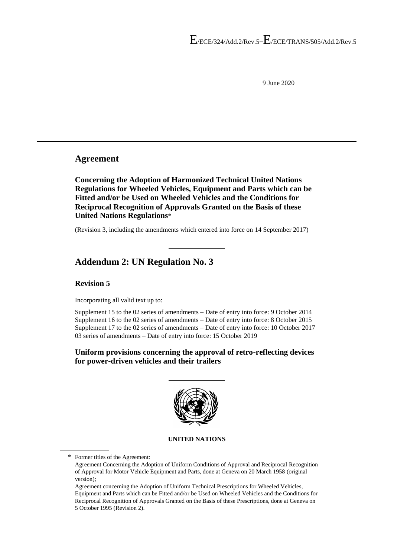9 June 2020

#### **Agreement**

**Concerning the Adoption of Harmonized Technical United Nations Regulations for Wheeled Vehicles, Equipment and Parts which can be Fitted and/or be Used on Wheeled Vehicles and the Conditions for Reciprocal Recognition of Approvals Granted on the Basis of these United Nations Regulations**\*

(Revision 3, including the amendments which entered into force on 14 September 2017)

## **Addendum 2: UN Regulation No. 3**

#### **Revision 5**

Incorporating all valid text up to:

Supplement 15 to the 02 series of amendments – Date of entry into force: 9 October 2014 Supplement 16 to the 02 series of amendments – Date of entry into force: 8 October 2015 Supplement 17 to the 02 series of amendments – Date of entry into force: 10 October 2017 03 series of amendments – Date of entry into force: 15 October 2019

#### **Uniform provisions concerning the approval of retro-reflecting devices for power-driven vehicles and their trailers**



#### **UNITED NATIONS**

\* Former titles of the Agreement:

Agreement Concerning the Adoption of Uniform Conditions of Approval and Reciprocal Recognition of Approval for Motor Vehicle Equipment and Parts, done at Geneva on 20 March 1958 (original version);

Agreement concerning the Adoption of Uniform Technical Prescriptions for Wheeled Vehicles, Equipment and Parts which can be Fitted and/or be Used on Wheeled Vehicles and the Conditions for Reciprocal Recognition of Approvals Granted on the Basis of these Prescriptions, done at Geneva on 5 October 1995 (Revision 2).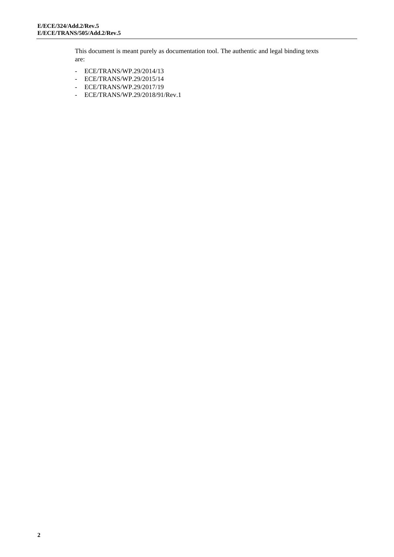This document is meant purely as documentation tool. The authentic and legal binding texts are:

- ECE/TRANS/WP.29/2014/13
- ECE/TRANS/WP.29/2015/14
- ECE/TRANS/WP.29/2017/19
- ECE/TRANS/WP.29/2018/91/Rev.1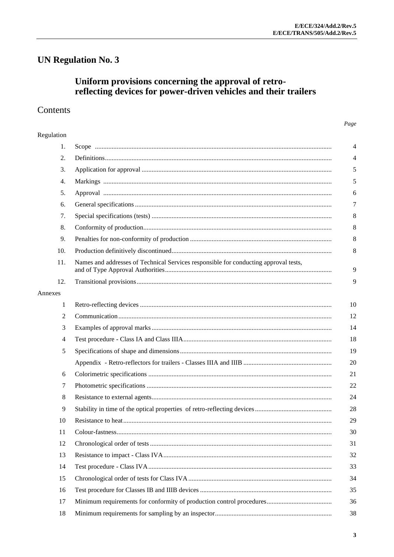# **UN Regulation No. 3**

# Uniform provisions concerning the approval of retro-<br>reflecting devices for power-driven vehicles and their trailers

#### Contents

| Regulation |                                                                                           |
|------------|-------------------------------------------------------------------------------------------|
| 1.         | 4                                                                                         |
| 2.         | 4                                                                                         |
| 3.         | 5                                                                                         |
| 4.         | 5                                                                                         |
| 5.         | 6                                                                                         |
| 6.         | 7                                                                                         |
| 7.         | 8                                                                                         |
| 8.         | 8                                                                                         |
| 9.         | 8                                                                                         |
| 10.        | 8                                                                                         |
| 11.        | Names and addresses of Technical Services responsible for conducting approval tests,<br>9 |
| 12.        | 9                                                                                         |
| Annexes    |                                                                                           |
| 1          | 10                                                                                        |
| 2          | 12                                                                                        |
| 3          | 14                                                                                        |
| 4          | 18                                                                                        |
| 5          | 19                                                                                        |
|            | 20                                                                                        |
| 6          | 21                                                                                        |
| 7          | 22                                                                                        |
| 8          | 24                                                                                        |
| 9          | 28                                                                                        |
| 10         | 29                                                                                        |
| 11         | 30                                                                                        |
| 12         | 31                                                                                        |
| 13         | 32                                                                                        |
| 14         | 33                                                                                        |
| 15         | 34                                                                                        |
| 16         | 35                                                                                        |
| 17         | 36                                                                                        |
| 18         | 38                                                                                        |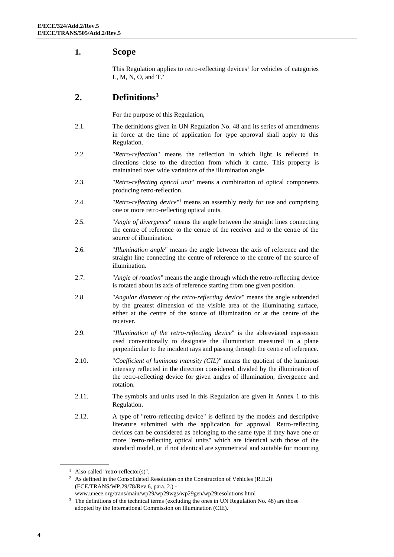#### <span id="page-3-0"></span>**1. Scope**

This Regulation applies to retro-reflecting devices<sup>1</sup> for vehicles of categories L, M, N, O, and T. 2

#### <span id="page-3-1"></span>**2. Definitions<sup>3</sup>**

For the purpose of this Regulation,

- 2.1. The definitions given in UN Regulation No. 48 and its series of amendments in force at the time of application for type approval shall apply to this Regulation.
- 2.2. "*Retro-reflection*" means the reflection in which light is reflected in directions close to the direction from which it came. This property is maintained over wide variations of the illumination angle.
- 2.3. "*Retro-reflecting optical unit*" means a combination of optical components producing retro-reflection.
- 2.4. "*Retro-reflecting device*" <sup>1</sup> means an assembly ready for use and comprising one or more retro-reflecting optical units.
- 2.5. "*Angle of divergence*" means the angle between the straight lines connecting the centre of reference to the centre of the receiver and to the centre of the source of illumination.
- 2.6. "*Illumination angle*" means the angle between the axis of reference and the straight line connecting the centre of reference to the centre of the source of illumination.
- 2.7. "*Angle of rotation*" means the angle through which the retro-reflecting device is rotated about its axis of reference starting from one given position.
- 2.8. "*Angular diameter of the retro-reflecting device*" means the angle subtended by the greatest dimension of the visible area of the illuminating surface, either at the centre of the source of illumination or at the centre of the receiver.
- 2.9. "*Illumination of the retro-reflecting device*" is the abbreviated expression used conventionally to designate the illumination measured in a plane perpendicular to the incident rays and passing through the centre of reference.
- 2.10. "*Coefficient of luminous intensity (CIL)*" means the quotient of the luminous intensity reflected in the direction considered, divided by the illumination of the retro-reflecting device for given angles of illumination, divergence and rotation.
- 2.11. The symbols and units used in this Regulation are given in Annex 1 to this Regulation.
- 2.12. A type of "retro-reflecting device" is defined by the models and descriptive literature submitted with the application for approval. Retro-reflecting devices can be considered as belonging to the same type if they have one or more "retro-reflecting optical units" which are identical with those of the standard model, or if not identical are symmetrical and suitable for mounting

<sup>&</sup>lt;sup>1</sup> Also called "retro-reflector(s)".

<sup>&</sup>lt;sup>2</sup> As defined in the Consolidated Resolution on the Construction of Vehicles (R.E.3) (ECE/TRANS/WP.29/78/Rev.6, para. 2.) -

[www.unece.org/trans/main/wp29/wp29wgs/wp29gen/wp29resolutions.html](http://www.unece.org/trans/main/wp29/wp29wgs/wp29gen/wp29resolutions.html)

<sup>&</sup>lt;sup>3</sup> The definitions of the technical terms (excluding the ones in UN Regulation No. 48) are those adopted by the International Commission on Illumination (CIE).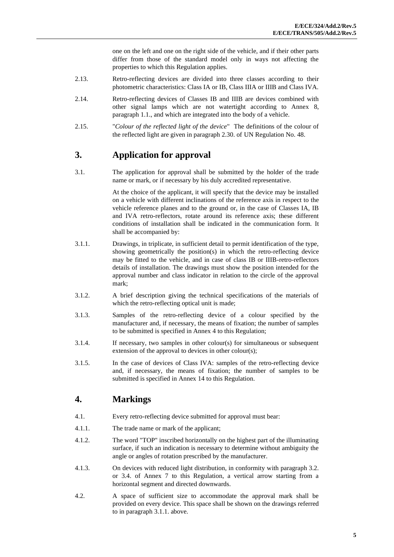one on the left and one on the right side of the vehicle, and if their other parts differ from those of the standard model only in ways not affecting the properties to which this Regulation applies.

- 2.13. Retro-reflecting devices are divided into three classes according to their photometric characteristics: Class IA or IB, Class IIIA or IIIB and Class IVA.
- 2.14. Retro-reflecting devices of Classes IB and IIIB are devices combined with other signal lamps which are not watertight according to Annex 8, paragraph 1.1., and which are integrated into the body of a vehicle.
- 2.15. "*Colour of the reflected light of the device*" The definitions of the colour of the reflected light are given in paragraph 2.30. of UN Regulation No. 48.

#### <span id="page-4-0"></span>**3. Application for approval**

3.1. The application for approval shall be submitted by the holder of the trade name or mark, or if necessary by his duly accredited representative.

> At the choice of the applicant, it will specify that the device may be installed on a vehicle with different inclinations of the reference axis in respect to the vehicle reference planes and to the ground or, in the case of Classes IA, IB and IVA retro-reflectors, rotate around its reference axis; these different conditions of installation shall be indicated in the communication form. It shall be accompanied by:

- 3.1.1. Drawings, in triplicate, in sufficient detail to permit identification of the type, showing geometrically the position(s) in which the retro-reflecting device may be fitted to the vehicle, and in case of class IB or IIIB-retro-reflectors details of installation. The drawings must show the position intended for the approval number and class indicator in relation to the circle of the approval mark;
- 3.1.2. A brief description giving the technical specifications of the materials of which the retro-reflecting optical unit is made;
- 3.1.3. Samples of the retro-reflecting device of a colour specified by the manufacturer and, if necessary, the means of fixation; the number of samples to be submitted is specified in Annex 4 to this Regulation;
- 3.1.4. If necessary, two samples in other colour(s) for simultaneous or subsequent extension of the approval to devices in other colour(s);
- 3.1.5. In the case of devices of Class IVA: samples of the retro-reflecting device and, if necessary, the means of fixation; the number of samples to be submitted is specified in Annex 14 to this Regulation.

## <span id="page-4-1"></span>**4. Markings**

- 4.1. Every retro-reflecting device submitted for approval must bear:
- 4.1.1. The trade name or mark of the applicant;
- 4.1.2. The word "TOP" inscribed horizontally on the highest part of the illuminating surface, if such an indication is necessary to determine without ambiguity the angle or angles of rotation prescribed by the manufacturer.
- 4.1.3. On devices with reduced light distribution, in conformity with paragraph 3.2. or 3.4. of Annex 7 to this Regulation, a vertical arrow starting from a horizontal segment and directed downwards.
- 4.2. A space of sufficient size to accommodate the approval mark shall be provided on every device. This space shall be shown on the drawings referred to in paragraph 3.1.1. above.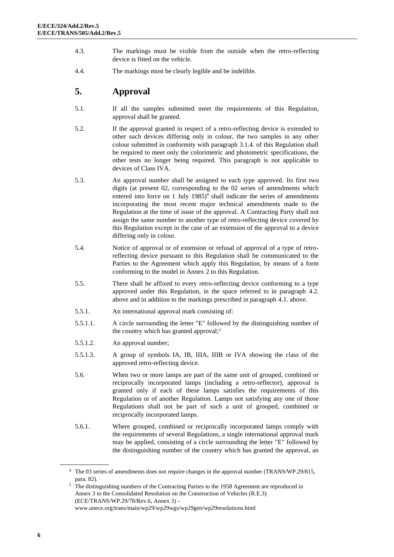- 4.3. The markings must be visible from the outside when the retro-reflecting device is fitted on the vehicle.
- 4.4. The markings must be clearly legible and be indelible.

#### <span id="page-5-0"></span>**5. Approval**

- 5.1. If all the samples submitted meet the requirements of this Regulation, approval shall be granted.
- 5.2. If the approval granted in respect of a retro-reflecting device is extended to other such devices differing only in colour, the two samples in any other colour submitted in conformity with paragraph 3.1.4. of this Regulation shall be required to meet only the colorimetric and photometric specifications, the other tests no longer being required. This paragraph is not applicable to devices of Class IVA.
- 5.3. An approval number shall be assigned to each type approved. Its first two digits (at present 02, corresponding to the 02 series of amendments which entered into force on 1 July  $1985$ <sup>4</sup> shall indicate the series of amendments incorporating the most recent major technical amendments made to the Regulation at the time of issue of the approval. A Contracting Party shall not assign the same number to another type of retro-reflecting device covered by this Regulation except in the case of an extension of the approval to a device differing only in colour.
- 5.4. Notice of approval or of extension or refusal of approval of a type of retroreflecting device pursuant to this Regulation shall be communicated to the Parties to the Agreement which apply this Regulation, by means of a form conforming to the model in Annex 2 to this Regulation.
- 5.5. There shall be affixed to every retro-reflecting device conforming to a type approved under this Regulation, in the space referred to in paragraph 4.2. above and in addition to the markings prescribed in paragraph 4.1. above.
- 5.5.1. An international approval mark consisting of:
- 5.5.1.1. A circle surrounding the letter "E" followed by the distinguishing number of the country which has granted approval;<sup>5</sup>
- 5.5.1.2. An approval number;
- 5.5.1.3. A group of symbols IA, IB, IIIA, IIIB or IVA showing the class of the approved retro-reflecting device.
- 5.6. When two or more lamps are part of the same unit of grouped, combined or reciprocally incorporated lamps (including a retro-reflector), approval is granted only if each of these lamps satisfies the requirements of this Regulation or of another Regulation. Lamps not satisfying any one of those Regulations shall not be part of such a unit of grouped, combined or reciprocally incorporated lamps.
- 5.6.1. Where grouped, combined or reciprocally incorporated lamps comply with the requirements of several Regulations, a single international approval mark may be applied, consisting of a circle surrounding the letter "E" followed by the distinguishing number of the country which has granted the approval, an

<sup>4</sup> The 03 series of amendments does not require changes in the approval number (TRANS/WP.29/815, para. 82).

<sup>&</sup>lt;sup>5</sup> The distinguishing numbers of the Contracting Parties to the 1958 Agreement are reproduced in Annex 3 to the Consolidated Resolution on the Construction of Vehicles (R.E.3) (ECE/TRANS/WP.29/78/Rev.6, Annex 3) [www.unece.org/trans/main/wp29/wp29wgs/wp29gen/wp29resolutions.html](http://www.unece.org/trans/main/wp29/wp29wgs/wp29gen/wp29resolutions.html)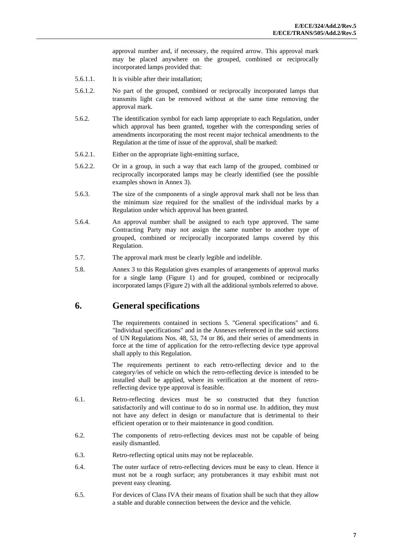approval number and, if necessary, the required arrow. This approval mark may be placed anywhere on the grouped, combined or reciprocally incorporated lamps provided that:

- 5.6.1.1. It is visible after their installation;
- 5.6.1.2. No part of the grouped, combined or reciprocally incorporated lamps that transmits light can be removed without at the same time removing the approval mark.
- 5.6.2. The identification symbol for each lamp appropriate to each Regulation, under which approval has been granted, together with the corresponding series of amendments incorporating the most recent major technical amendments to the Regulation at the time of issue of the approval, shall be marked:
- 5.6.2.1. Either on the appropriate light-emitting surface,
- 5.6.2.2. Or in a group, in such a way that each lamp of the grouped, combined or reciprocally incorporated lamps may be clearly identified (see the possible examples shown in Annex 3).
- 5.6.3. The size of the components of a single approval mark shall not be less than the minimum size required for the smallest of the individual marks by a Regulation under which approval has been granted.
- 5.6.4. An approval number shall be assigned to each type approved. The same Contracting Party may not assign the same number to another type of grouped, combined or reciprocally incorporated lamps covered by this Regulation.
- 5.7. The approval mark must be clearly legible and indelible.
- 5.8. Annex 3 to this Regulation gives examples of arrangements of approval marks for a single lamp (Figure 1) and for grouped, combined or reciprocally incorporated lamps (Figure 2) with all the additional symbols referred to above.

#### <span id="page-6-0"></span>**6. General specifications**

The requirements contained in sections 5. "General specifications" and 6. "Individual specifications" and in the Annexes referenced in the said sections of UN Regulations Nos. 48, 53, 74 or 86, and their series of amendments in force at the time of application for the retro-reflecting device type approval shall apply to this Regulation.

The requirements pertinent to each retro-reflecting device and to the category/ies of vehicle on which the retro-reflecting device is intended to be installed shall be applied, where its verification at the moment of retroreflecting device type approval is feasible.

- 6.1. Retro-reflecting devices must be so constructed that they function satisfactorily and will continue to do so in normal use. In addition, they must not have any defect in design or manufacture that is detrimental to their efficient operation or to their maintenance in good condition.
- 6.2. The components of retro-reflecting devices must not be capable of being easily dismantled.
- 6.3. Retro-reflecting optical units may not be replaceable.
- 6.4. The outer surface of retro-reflecting devices must be easy to clean. Hence it must not be a rough surface; any protuberances it may exhibit must not prevent easy cleaning.
- 6.5. For devices of Class IVA their means of fixation shall be such that they allow a stable and durable connection between the device and the vehicle.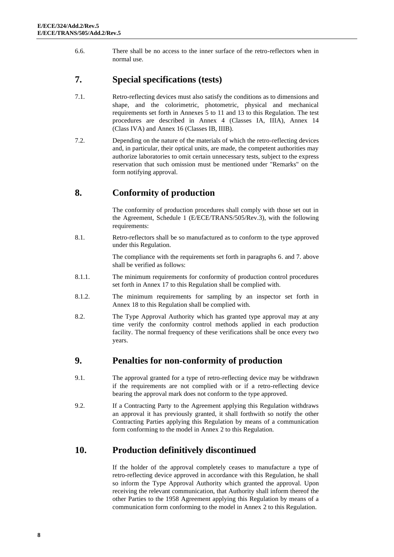6.6. There shall be no access to the inner surface of the retro-reflectors when in normal use.

#### <span id="page-7-0"></span>**7. Special specifications (tests)**

- 7.1. Retro-reflecting devices must also satisfy the conditions as to dimensions and shape, and the colorimetric, photometric, physical and mechanical requirements set forth in Annexes 5 to 11 and 13 to this Regulation. The test procedures are described in Annex 4 (Classes IA, IIIA), Annex 14 (Class IVA) and Annex 16 (Classes IB, IIIB).
- 7.2. Depending on the nature of the materials of which the retro-reflecting devices and, in particular, their optical units, are made, the competent authorities may authorize laboratories to omit certain unnecessary tests, subject to the express reservation that such omission must be mentioned under "Remarks" on the form notifying approval.

## <span id="page-7-1"></span>**8. Conformity of production**

The conformity of production procedures shall comply with those set out in the Agreement, Schedule 1 (E/ECE/TRANS/505/Rev.3), with the following requirements:

8.1. Retro-reflectors shall be so manufactured as to conform to the type approved under this Regulation.

> The compliance with the requirements set forth in paragraphs 6. and 7. above shall be verified as follows:

- 8.1.1. The minimum requirements for conformity of production control procedures set forth in Annex 17 to this Regulation shall be complied with.
- 8.1.2. The minimum requirements for sampling by an inspector set forth in Annex 18 to this Regulation shall be complied with.
- 8.2. The Type Approval Authority which has granted type approval may at any time verify the conformity control methods applied in each production facility. The normal frequency of these verifications shall be once every two years.

#### <span id="page-7-2"></span>**9. Penalties for non-conformity of production**

- 9.1. The approval granted for a type of retro-reflecting device may be withdrawn if the requirements are not complied with or if a retro-reflecting device bearing the approval mark does not conform to the type approved.
- 9.2. If a Contracting Party to the Agreement applying this Regulation withdraws an approval it has previously granted, it shall forthwith so notify the other Contracting Parties applying this Regulation by means of a communication form conforming to the model in Annex 2 to this Regulation.

## <span id="page-7-3"></span>**10. Production definitively discontinued**

If the holder of the approval completely ceases to manufacture a type of retro-reflecting device approved in accordance with this Regulation, he shall so inform the Type Approval Authority which granted the approval. Upon receiving the relevant communication, that Authority shall inform thereof the other Parties to the 1958 Agreement applying this Regulation by means of a communication form conforming to the model in Annex 2 to this Regulation.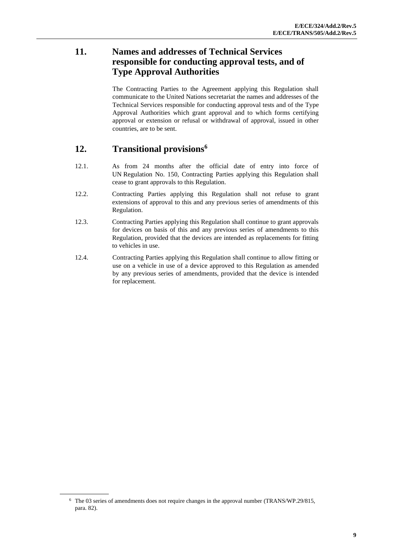#### <span id="page-8-0"></span>**11. Names and addresses of Technical Services responsible for conducting approval tests, and of Type Approval Authorities**

The Contracting Parties to the Agreement applying this Regulation shall communicate to the United Nations secretariat the names and addresses of the Technical Services responsible for conducting approval tests and of the Type Approval Authorities which grant approval and to which forms certifying approval or extension or refusal or withdrawal of approval, issued in other countries, are to be sent.

#### <span id="page-8-1"></span>**12. Transitional provisions<sup>6</sup>**

- 12.1. As from 24 months after the official date of entry into force of UN Regulation No. 150, Contracting Parties applying this Regulation shall cease to grant approvals to this Regulation.
- 12.2. Contracting Parties applying this Regulation shall not refuse to grant extensions of approval to this and any previous series of amendments of this Regulation.
- 12.3. Contracting Parties applying this Regulation shall continue to grant approvals for devices on basis of this and any previous series of amendments to this Regulation, provided that the devices are intended as replacements for fitting to vehicles in use.
- 12.4. Contracting Parties applying this Regulation shall continue to allow fitting or use on a vehicle in use of a device approved to this Regulation as amended by any previous series of amendments, provided that the device is intended for replacement.

<sup>6</sup> The 03 series of amendments does not require changes in the approval number (TRANS/WP.29/815, para. 82).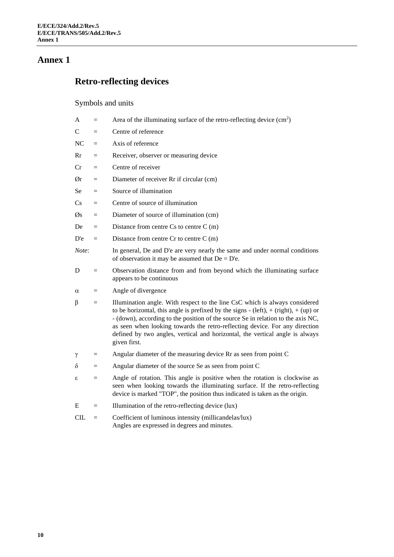# <span id="page-9-1"></span><span id="page-9-0"></span>**Retro-reflecting devices**

# Symbols and units

| A     | $=$ | Area of the illuminating surface of the retro-reflecting device $(cm2)$                                                                                                                                                                                                                                                                                                                                                                |
|-------|-----|----------------------------------------------------------------------------------------------------------------------------------------------------------------------------------------------------------------------------------------------------------------------------------------------------------------------------------------------------------------------------------------------------------------------------------------|
| C     | $=$ | Centre of reference                                                                                                                                                                                                                                                                                                                                                                                                                    |
| NC    | $=$ | Axis of reference                                                                                                                                                                                                                                                                                                                                                                                                                      |
| Rr    | $=$ | Receiver, observer or measuring device                                                                                                                                                                                                                                                                                                                                                                                                 |
| Cr    | $=$ | Centre of receiver                                                                                                                                                                                                                                                                                                                                                                                                                     |
| Ør    | $=$ | Diameter of receiver Rr if circular (cm)                                                                                                                                                                                                                                                                                                                                                                                               |
| Se    | $=$ | Source of illumination                                                                                                                                                                                                                                                                                                                                                                                                                 |
| Сs    | $=$ | Centre of source of illumination                                                                                                                                                                                                                                                                                                                                                                                                       |
| Øs    | $=$ | Diameter of source of illumination (cm)                                                                                                                                                                                                                                                                                                                                                                                                |
| De    | $=$ | Distance from centre $Cs$ to centre $C(m)$                                                                                                                                                                                                                                                                                                                                                                                             |
| D'e   | $=$ | Distance from centre $Cr$ to centre $C(m)$                                                                                                                                                                                                                                                                                                                                                                                             |
| Note: |     | In general, De and D'e are very nearly the same and under normal conditions<br>of observation it may be assumed that $De = D'e$ .                                                                                                                                                                                                                                                                                                      |
| D     | $=$ | Observation distance from and from beyond which the illuminating surface<br>appears to be continuous                                                                                                                                                                                                                                                                                                                                   |
| α     | $=$ | Angle of divergence                                                                                                                                                                                                                                                                                                                                                                                                                    |
| β     | $=$ | Illumination angle. With respect to the line CsC which is always considered<br>to be horizontal, this angle is prefixed by the signs - (left), + (right), + (up) or<br>- (down), according to the position of the source Se in relation to the axis NC,<br>as seen when looking towards the retro-reflecting device. For any direction<br>defined by two angles, vertical and horizontal, the vertical angle is always<br>given first. |
| γ     | $=$ | Angular diameter of the measuring device Rr as seen from point C                                                                                                                                                                                                                                                                                                                                                                       |
| δ     | $=$ | Angular diameter of the source Se as seen from point C                                                                                                                                                                                                                                                                                                                                                                                 |
| ε     | $=$ | Angle of rotation. This angle is positive when the rotation is clockwise as<br>seen when looking towards the illuminating surface. If the retro-reflecting<br>device is marked "TOP", the position thus indicated is taken as the origin.                                                                                                                                                                                              |
| E     | $=$ | Illumination of the retro-reflecting device (lux)                                                                                                                                                                                                                                                                                                                                                                                      |
| CIL.  | $=$ | Coefficient of luminous intensity (millicandelas/lux)<br>Angles are expressed in degrees and minutes.                                                                                                                                                                                                                                                                                                                                  |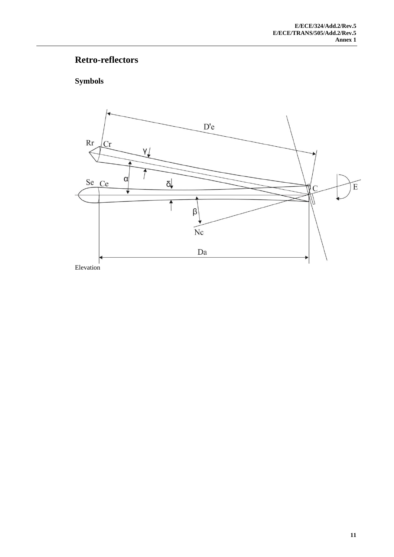# **Retro-reflectors**

# **Symbols**

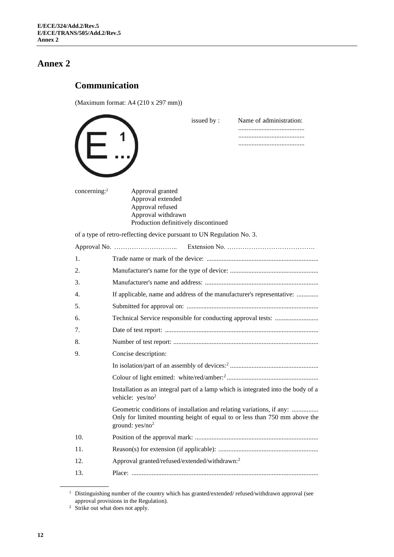# <span id="page-11-1"></span><span id="page-11-0"></span>**Communication**

(Maximum format: A4 (210 x 297 mm))

|                          |                                                                                                                         | issued by: | Name of administration:                                                           |
|--------------------------|-------------------------------------------------------------------------------------------------------------------------|------------|-----------------------------------------------------------------------------------|
| concerning: <sup>2</sup> | Approval granted<br>Approval extended<br>Approval refused<br>Approval withdrawn<br>Production definitively discontinued |            |                                                                                   |
|                          | of a type of retro-reflecting device pursuant to UN Regulation No. 3.                                                   |            |                                                                                   |
|                          |                                                                                                                         |            |                                                                                   |
| 1.                       |                                                                                                                         |            |                                                                                   |
| 2.                       |                                                                                                                         |            |                                                                                   |
| 3.                       |                                                                                                                         |            |                                                                                   |
| 4.                       |                                                                                                                         |            | If applicable, name and address of the manufacturer's representative:             |
| 5.                       |                                                                                                                         |            |                                                                                   |
| 6.                       |                                                                                                                         |            | Technical Service responsible for conducting approval tests:                      |
| 7.                       |                                                                                                                         |            |                                                                                   |
| 8.                       |                                                                                                                         |            |                                                                                   |
| 9.                       | Concise description:                                                                                                    |            |                                                                                   |
|                          |                                                                                                                         |            |                                                                                   |
|                          |                                                                                                                         |            |                                                                                   |
|                          | vehicle: yes/no <sup>2</sup>                                                                                            |            | Installation as an integral part of a lamp which is integrated into the body of a |
|                          | Geometric conditions of installation and relating variations, if any:<br>ground: $yes/no2$                              |            | Only for limited mounting height of equal to or less than 750 mm above the        |
| 10.                      |                                                                                                                         |            |                                                                                   |
| 11.                      |                                                                                                                         |            |                                                                                   |
| 12.                      | Approval granted/refused/extended/withdrawn: <sup>2</sup>                                                               |            |                                                                                   |
| 13.                      |                                                                                                                         |            |                                                                                   |

<sup>&</sup>lt;sup>1</sup> Distinguishing number of the country which has granted/extended/ refused/withdrawn approval (see approval provisions in the Regulation).

 $2$  Strike out what does not apply.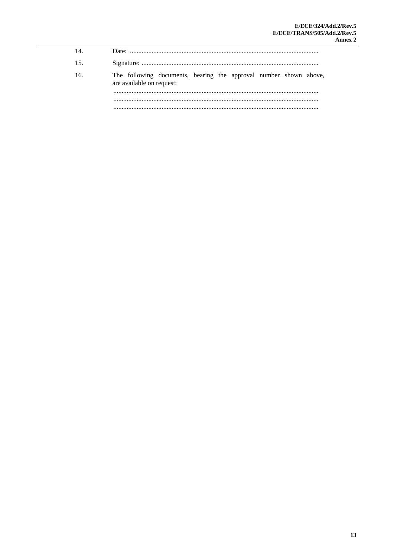| 15 |                                                                                                |
|----|------------------------------------------------------------------------------------------------|
|    | The following documents, bearing the approval number shown above,<br>are available on request: |
|    |                                                                                                |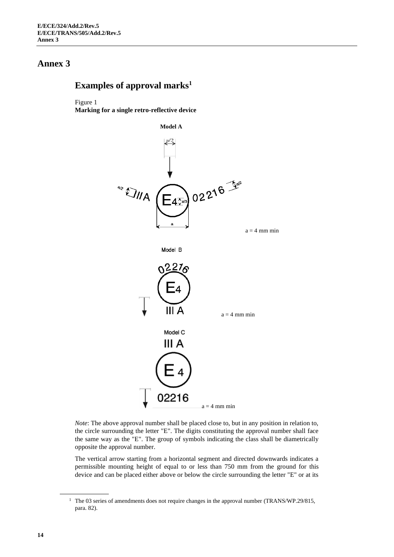#### <span id="page-13-1"></span><span id="page-13-0"></span>**Examples of approval marks<sup>1</sup>**

Figure 1

**Marking for a single retro-reflective device** 



*Note*: The above approval number shall be placed close to, but in any position in relation to, the circle surrounding the letter "E". The digits constituting the approval number shall face the same way as the "E". The group of symbols indicating the class shall be diametrically opposite the approval number.

The vertical arrow starting from a horizontal segment and directed downwards indicates a permissible mounting height of equal to or less than 750 mm from the ground for this device and can be placed either above or below the circle surrounding the letter "E" or at its

<sup>&</sup>lt;sup>1</sup> The 03 series of amendments does not require changes in the approval number (TRANS/WP.29/815, para. 82).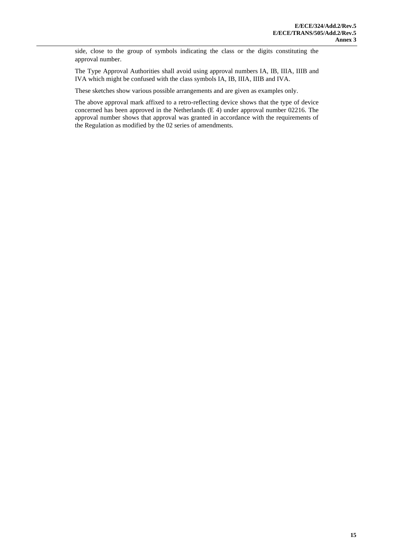side, close to the group of symbols indicating the class or the digits constituting the approval number.

The Type Approval Authorities shall avoid using approval numbers IA, IB, IIIA, IIIB and IVA which might be confused with the class symbols IA, IB, IIIA, IIIB and IVA.

These sketches show various possible arrangements and are given as examples only.

The above approval mark affixed to a retro-reflecting device shows that the type of device concerned has been approved in the Netherlands (E 4) under approval number 02216. The approval number shows that approval was granted in accordance with the requirements of the Regulation as modified by the 02 series of amendments.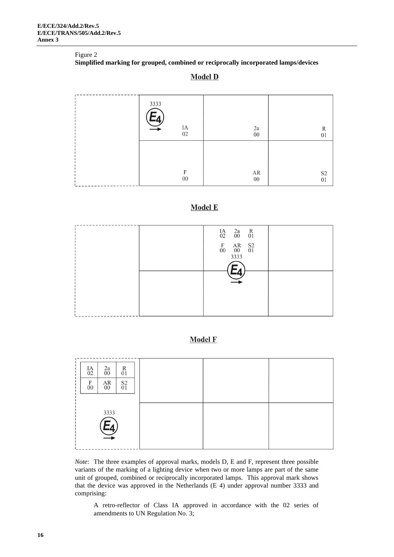#### Figure 2

**Simplified marking for grouped, combined or reciprocally incorporated lamps/devices** 

#### **Model D**

| 3333                  | 2a                     | $\mathbb{R}$ |
|-----------------------|------------------------|--------------|
| $_{02}^{\mathrm{IA}}$ | $00\,$                 | 01           |
| Е<br>${\bf 00}$       | ${\sf AR}$<br>$0 \\ 0$ |              |

#### **Model E**



#### **Model F**

| $^{IA}_{02}$         | $\frac{2a}{00}$                      | $_{01}^{\rm R}$ |
|----------------------|--------------------------------------|-----------------|
| $_{00}^{\mathrm{F}}$ | $^{\rm AR}_{\rm 00}$                 | ${}^{S2}_{01}$  |
|                      |                                      |                 |
|                      | $\overbrace{\phantom{12333}}^{3333}$ |                 |
|                      |                                      |                 |

*Note*: The three examples of approval marks, models D, E and F, represent three possible variants of the marking of a lighting device when two or more lamps are part of the same unit of grouped, combined or reciprocally incorporated lamps. This approval mark shows that the device was approved in the Netherlands (E 4) under approval number 3333 and comprising:

A retro-reflector of Class IA approved in accordance with the 02 series of amendments to UN Regulation No. 3;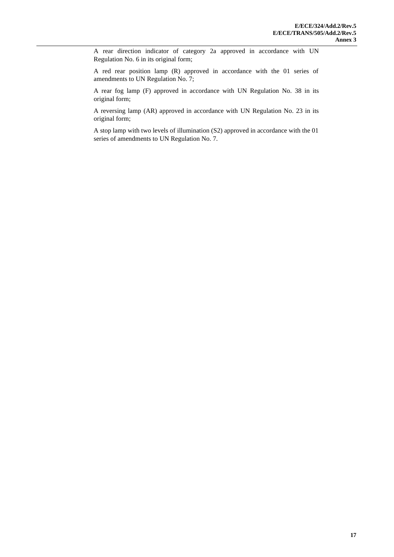A rear direction indicator of category 2a approved in accordance with UN Regulation No. 6 in its original form;

A red rear position lamp (R) approved in accordance with the 01 series of amendments to UN Regulation No. 7;

A rear fog lamp (F) approved in accordance with UN Regulation No. 38 in its original form;

A reversing lamp (AR) approved in accordance with UN Regulation No. 23 in its original form;

A stop lamp with two levels of illumination (S2) approved in accordance with the 01 series of amendments to UN Regulation No. 7.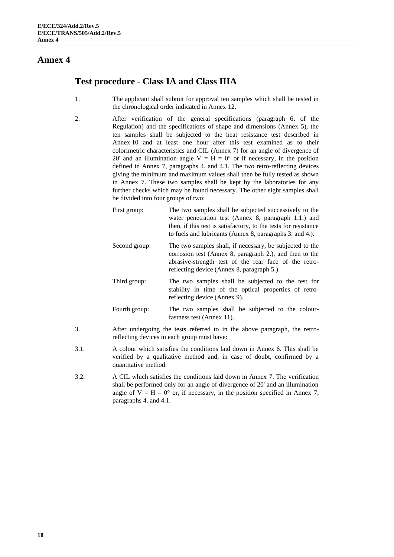#### <span id="page-17-1"></span><span id="page-17-0"></span>**Test procedure - Class IA and Class IIIA**

- 1. The applicant shall submit for approval ten samples which shall be tested in the chronological order indicated in Annex 12.
- 2. After verification of the general specifications (paragraph 6. of the Regulation) and the specifications of shape and dimensions (Annex 5), the ten samples shall be subjected to the heat resistance test described in Annex 10 and at least one hour after this test examined as to their colorimetric characteristics and CIL (Annex 7) for an angle of divergence of 20' and an illumination angle  $V = H = 0^{\circ}$  or if necessary, in the position defined in Annex 7, paragraphs 4. and 4.1. The two retro-reflecting devices giving the minimum and maximum values shall then be fully tested as shown in Annex 7. These two samples shall be kept by the laboratories for any further checks which may be found necessary. The other eight samples shall be divided into four groups of two:

| First group:  | The two samples shall be subjected successively to the<br>water penetration test (Annex 8, paragraph 1.1.) and<br>then, if this test is satisfactory, to the tests for resistance<br>to fuels and lubricants (Annex 8, paragraphs 3. and 4.). |
|---------------|-----------------------------------------------------------------------------------------------------------------------------------------------------------------------------------------------------------------------------------------------|
| Second group: | The two samples shall, if necessary, be subjected to the<br>corrosion test (Annex 8, paragraph 2.), and then to the<br>abrasive-strength test of the rear face of the retro-<br>reflecting device (Annex 8, paragraph 5.).                    |
| Third group:  | The two samples shall be subjected to the test for<br>stability in time of the optical properties of retro-<br>reflecting device (Annex 9).                                                                                                   |
| Fourth group: | The two samples shall be subjected to the colour-<br>fastness test (Annex 11).                                                                                                                                                                |

- 3. After undergoing the tests referred to in the above paragraph, the retroreflecting devices in each group must have:
- 3.1. A colour which satisfies the conditions laid down in Annex 6. This shall be verified by a qualitative method and, in case of doubt, confirmed by a quantitative method.
- 3.2. A CIL which satisfies the conditions laid down in Annex 7. The verification shall be performed only for an angle of divergence of 20' and an illumination angle of  $V = H = 0^{\circ}$  or, if necessary, in the position specified in Annex 7, paragraphs 4. and 4.1.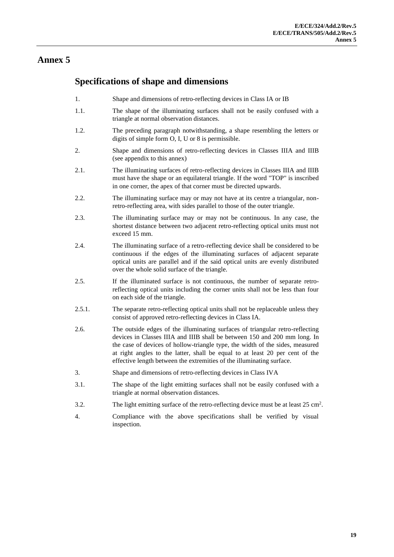#### <span id="page-18-0"></span>**Specifications of shape and dimensions**

- 1. Shape and dimensions of retro-reflecting devices in Class IA or IB
- 1.1. The shape of the illuminating surfaces shall not be easily confused with a triangle at normal observation distances.
- 1.2. The preceding paragraph notwithstanding, a shape resembling the letters or digits of simple form O, I, U or 8 is permissible.
- 2. Shape and dimensions of retro-reflecting devices in Classes IIIA and IIIB (see appendix to this annex)
- 2.1. The illuminating surfaces of retro-reflecting devices in Classes IIIA and IIIB must have the shape or an equilateral triangle. If the word "TOP" is inscribed in one corner, the apex of that corner must be directed upwards.
- 2.2. The illuminating surface may or may not have at its centre a triangular, nonretro-reflecting area, with sides parallel to those of the outer triangle.
- 2.3. The illuminating surface may or may not be continuous. In any case, the shortest distance between two adjacent retro-reflecting optical units must not exceed 15 mm.
- 2.4. The illuminating surface of a retro-reflecting device shall be considered to be continuous if the edges of the illuminating surfaces of adjacent separate optical units are parallel and if the said optical units are evenly distributed over the whole solid surface of the triangle.
- 2.5. If the illuminated surface is not continuous, the number of separate retroreflecting optical units including the corner units shall not be less than four on each side of the triangle.
- 2.5.1. The separate retro-reflecting optical units shall not be replaceable unless they consist of approved retro-reflecting devices in Class IA.
- 2.6. The outside edges of the illuminating surfaces of triangular retro-reflecting devices in Classes IIIA and IIIB shall be between 150 and 200 mm long. In the case of devices of hollow-triangle type, the width of the sides, measured at right angles to the latter, shall be equal to at least 20 per cent of the effective length between the extremities of the illuminating surface.
- 3. Shape and dimensions of retro-reflecting devices in Class IVA
- 3.1. The shape of the light emitting surfaces shall not be easily confused with a triangle at normal observation distances.
- 3.2. The light emitting surface of the retro-reflecting device must be at least 25 cm<sup>2</sup>.
- 4. Compliance with the above specifications shall be verified by visual inspection.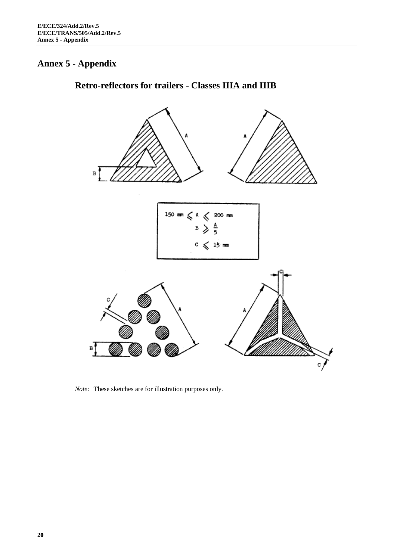# **Annex 5 - Appendix**



# <span id="page-19-0"></span>**Retro-reflectors for trailers - Classes IIIA and IIIB**

*Note*: These sketches are for illustration purposes only.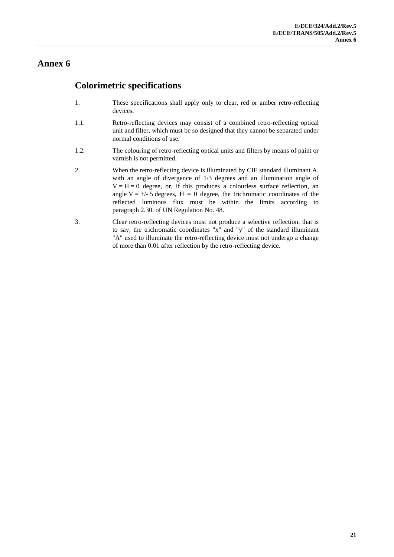#### <span id="page-20-1"></span><span id="page-20-0"></span>**Colorimetric specifications**

- 1. These specifications shall apply only to clear, red or amber retro-reflecting devices.
- 1.1. Retro-reflecting devices may consist of a combined retro-reflecting optical unit and filter, which must be so designed that they cannot be separated under normal conditions of use.
- 1.2. The colouring of retro-reflecting optical units and filters by means of paint or varnish is not permitted.
- 2. When the retro-reflecting device is illuminated by CIE standard illuminant A, with an angle of divergence of 1/3 degrees and an illumination angle of  $V = H = 0$  degree, or, if this produces a colourless surface reflection, an angle  $V = +/-5$  degrees,  $H = 0$  degree, the trichromatic coordinates of the reflected luminous flux must be within the limits according to paragraph 2.30. of UN Regulation No. 48.
- 3. Clear retro-reflecting devices must not produce a selective reflection, that is to say, the trichromatic coordinates "x" and "y" of the standard illuminant "A" used to illuminate the retro-reflecting device must not undergo a change of more than 0.01 after reflection by the retro-reflecting device.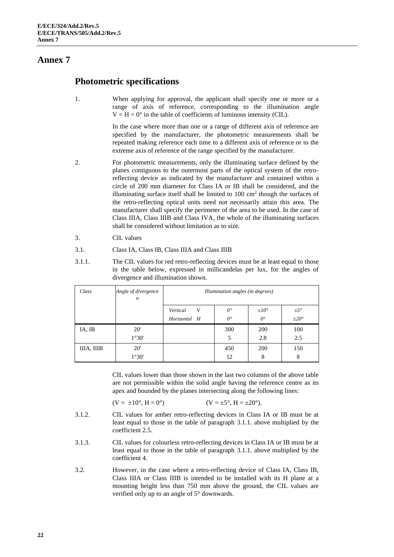#### <span id="page-21-1"></span><span id="page-21-0"></span>**Photometric specifications**

1. When applying for approval, the applicant shall specify one or more or a range of axis of reference, corresponding to the illumination angle  $V = H = 0^{\circ}$  in the table of coefficients of luminous intensity (CIL).

> In the case where more than one or a range of different axis of reference are specified by the manufacturer, the photometric measurements shall be repeated making reference each time to a different axis of reference or to the extreme axis of reference of the range specified by the manufacturer.

- 2. For photometric measurements, only the illuminating surface defined by the planes contiguous to the outermost parts of the optical system of the retroreflecting device as indicated by the manufacturer and contained within a circle of 200 mm diameter for Class IA or IB shall be considered, and the illuminating surface itself shall be limited to  $100 \text{ cm}^2$  though the surfaces of the retro-reflecting optical units need not necessarily attain this area. The manufacturer shall specify the perimeter of the area to be used. In the case of Class IIIA, Class IIIB and Class IVA, the whole of the illuminating surfaces shall be considered without limitation as to size.
- 3. CIL values
- 3.1. Class IA, Class IB, Class IIIA and Class IIIB
- 3.1.1. The CIL values for red retro-reflecting devices must be at least equal to those in the table below, expressed in millicandelas per lux, for the angles of divergence and illumination shown.

| Class      | Angle of divergence<br>$\alpha$ | Illumination angles (in degrees) |             |                  |                  |  |  |  |  |  |  |
|------------|---------------------------------|----------------------------------|-------------|------------------|------------------|--|--|--|--|--|--|
|            |                                 | Vertical<br>V                    | $0^{\circ}$ | $\pm 10^{\circ}$ | $\pm 5^{\circ}$  |  |  |  |  |  |  |
|            |                                 | Horizontal H                     | $0^{\circ}$ | $0^{\circ}$      | $\pm 20^{\circ}$ |  |  |  |  |  |  |
| IA, IB     | 20'                             |                                  | 300         | 200              | 100              |  |  |  |  |  |  |
|            | 1°30'                           |                                  | 5           | 2.8              | 2.5              |  |  |  |  |  |  |
| IIIA, IIIB | 20'                             |                                  | 450         | 200              | 150              |  |  |  |  |  |  |
|            | 1°30'                           |                                  | 12          | 8                | 8                |  |  |  |  |  |  |

CIL values lower than those shown in the last two columns of the above table are not permissible within the solid angle having the reference centre as its apex and bounded by the planes intersecting along the following lines:

$$
(V = \pm 10^{\circ}, H = 0^{\circ})
$$
 (V = ±5<sup>°</sup>, H = ±20<sup>°</sup>).

- 3.1.2. CIL values for amber retro-reflecting devices in Class IA or IB must be at least equal to those in the table of paragraph 3.1.1. above multiplied by the coefficient 2.5.
- 3.1.3. CIL values for colourless retro-reflecting devices in Class IA or IB must be at least equal to those in the table of paragraph 3.1.1. above multiplied by the coefficient 4.
- 3.2. However, in the case where a retro-reflecting device of Class IA, Class IB, Class IIIA or Class IIIB is intended to be installed with its H plane at a mounting height less than 750 mm above the ground, the CIL values are verified only up to an angle of 5° downwards.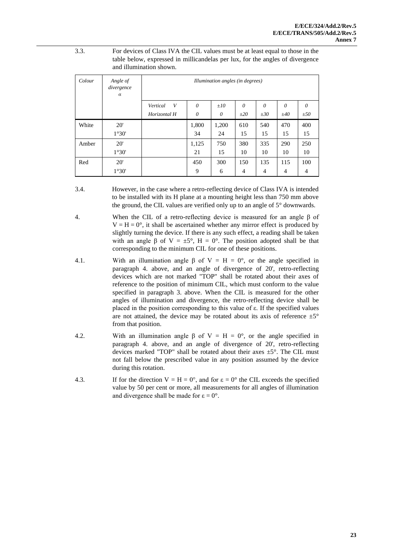3.3. For devices of Class IVA the CIL values must be at least equal to those in the table below, expressed in millicandelas per lux, for the angles of divergence and illumination shown.

| Colour | Angle of<br>divergence<br>$\alpha$ | Illumination angles (in degrees) |                      |                      |                |               |                 |                |  |  |
|--------|------------------------------------|----------------------------------|----------------------|----------------------|----------------|---------------|-----------------|----------------|--|--|
|        |                                    | V<br>Vertical<br>Horizontal H    | $\theta$<br>$\theta$ | $\pm 10$<br>$\theta$ | 0<br>$\pm 20$  | 0<br>$\pm 30$ | $\theta$<br>±40 | 0<br>±50       |  |  |
| White  | 20'                                |                                  | 1,800                | 1,200                | 610            | 540           | 470             | 400            |  |  |
|        | 1°30'                              |                                  | 34                   | 24                   | 15             | 15            | 15              | 15             |  |  |
| Amber  | 20'                                |                                  | 1,125                | 750                  | 380            | 335           | 290             | 250            |  |  |
|        | 1°30'                              |                                  | 21                   | 15                   | 10             | 10            | 10              | 10             |  |  |
| Red    | 20'                                |                                  | 450                  | 300                  | 150            | 135           | 115             | 100            |  |  |
|        | 1°30'                              |                                  | 9                    | 6                    | $\overline{4}$ | 4             | 4               | $\overline{4}$ |  |  |

- 3.4. However, in the case where a retro-reflecting device of Class IVA is intended to be installed with its H plane at a mounting height less than 750 mm above the ground, the CIL values are verified only up to an angle of 5° downwards.
- 4. When the CIL of a retro-reflecting device is measured for an angle β of  $V = H = 0^{\circ}$ , it shall be ascertained whether any mirror effect is produced by slightly turning the device. If there is any such effect, a reading shall be taken with an angle  $\beta$  of  $V = \pm 5^{\circ}$ ,  $H = 0^{\circ}$ . The position adopted shall be that corresponding to the minimum CIL for one of these positions.
- 4.1. With an illumination angle  $\beta$  of V = H = 0°, or the angle specified in paragraph 4. above, and an angle of divergence of 20', retro-reflecting devices which are not marked "TOP" shall be rotated about their axes of reference to the position of minimum CIL, which must conform to the value specified in paragraph 3. above. When the CIL is measured for the other angles of illumination and divergence, the retro-reflecting device shall be placed in the position corresponding to this value of ε. If the specified values are not attained, the device may be rotated about its axis of reference  $\pm 5^{\circ}$ from that position.
- 4.2. With an illumination angle  $\beta$  of V = H = 0°, or the angle specified in paragraph 4. above, and an angle of divergence of 20', retro-reflecting devices marked "TOP" shall be rotated about their axes  $\pm$ 5°. The CIL must not fall below the prescribed value in any position assumed by the device during this rotation.
- 4.3. If for the direction  $V = H = 0^{\circ}$ , and for  $\varepsilon = 0^{\circ}$  the CIL exceeds the specified value by 50 per cent or more, all measurements for all angles of illumination and divergence shall be made for  $\varepsilon = 0^{\circ}$ .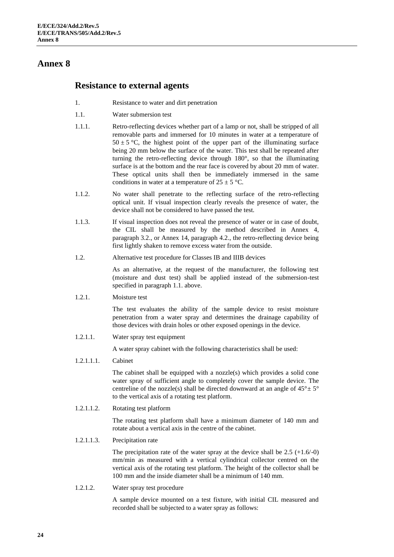#### <span id="page-23-1"></span><span id="page-23-0"></span>**Resistance to external agents**

- 1. Resistance to water and dirt penetration
- 1.1. Water submersion test
- 1.1.1. Retro-reflecting devices whether part of a lamp or not, shall be stripped of all removable parts and immersed for 10 minutes in water at a temperature of  $50 \pm 5$  °C, the highest point of the upper part of the illuminating surface being 20 mm below the surface of the water. This test shall be repeated after turning the retro-reflecting device through 180°, so that the illuminating surface is at the bottom and the rear face is covered by about 20 mm of water. These optical units shall then be immediately immersed in the same conditions in water at a temperature of  $25 \pm 5$  °C.
- 1.1.2. No water shall penetrate to the reflecting surface of the retro-reflecting optical unit. If visual inspection clearly reveals the presence of water, the device shall not be considered to have passed the test.
- 1.1.3. If visual inspection does not reveal the presence of water or in case of doubt, the CIL shall be measured by the method described in Annex 4, paragraph 3.2., or Annex 14, paragraph 4.2., the retro-reflecting device being first lightly shaken to remove excess water from the outside.
- 1.2. Alternative test procedure for Classes IB and IIIB devices

As an alternative, at the request of the manufacturer, the following test (moisture and dust test) shall be applied instead of the submersion-test specified in paragraph 1.1. above.

1.2.1. Moisture test

The test evaluates the ability of the sample device to resist moisture penetration from a water spray and determines the drainage capability of those devices with drain holes or other exposed openings in the device.

1.2.1.1. Water spray test equipment

A water spray cabinet with the following characteristics shall be used:

1.2.1.1.1. Cabinet

The cabinet shall be equipped with a nozzle(s) which provides a solid cone water spray of sufficient angle to completely cover the sample device. The centreline of the nozzle(s) shall be directed downward at an angle of  $45^{\circ} \pm 5^{\circ}$ to the vertical axis of a rotating test platform.

1.2.1.1.2. Rotating test platform

The rotating test platform shall have a minimum diameter of 140 mm and rotate about a vertical axis in the centre of the cabinet.

1.2.1.1.3. Precipitation rate

The precipitation rate of the water spray at the device shall be  $2.5$  (+1.6/-0) mm/min as measured with a vertical cylindrical collector centred on the vertical axis of the rotating test platform. The height of the collector shall be 100 mm and the inside diameter shall be a minimum of 140 mm.

1.2.1.2. Water spray test procedure

A sample device mounted on a test fixture, with initial CIL measured and recorded shall be subjected to a water spray as follows: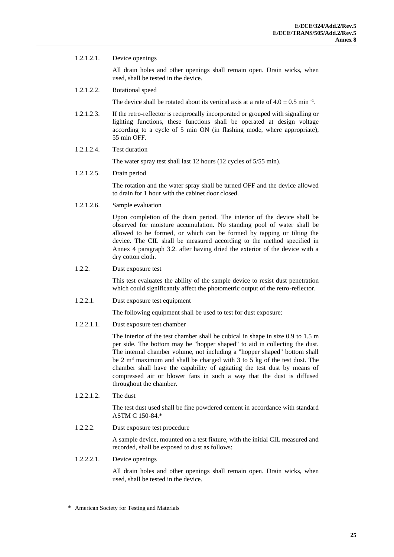1.2.1.2.1. Device openings

All drain holes and other openings shall remain open. Drain wicks, when used, shall be tested in the device.

1.2.1.2.2. Rotational speed

The device shall be rotated about its vertical axis at a rate of  $4.0 \pm 0.5$  min<sup>-1</sup>.

- 1.2.1.2.3. If the retro-reflector is reciprocally incorporated or grouped with signalling or lighting functions, these functions shall be operated at design voltage according to a cycle of 5 min ON (in flashing mode, where appropriate), 55 min OFF.
- 1.2.1.2.4. Test duration

The water spray test shall last 12 hours (12 cycles of 5/55 min).

1.2.1.2.5. Drain period

The rotation and the water spray shall be turned OFF and the device allowed to drain for 1 hour with the cabinet door closed.

1.2.1.2.6. Sample evaluation

Upon completion of the drain period. The interior of the device shall be observed for moisture accumulation. No standing pool of water shall be allowed to be formed, or which can be formed by tapping or tilting the device. The CIL shall be measured according to the method specified in Annex 4 paragraph 3.2. after having dried the exterior of the device with a dry cotton cloth.

1.2.2. Dust exposure test

This test evaluates the ability of the sample device to resist dust penetration which could significantly affect the photometric output of the retro-reflector.

1.2.2.1. Dust exposure test equipment

The following equipment shall be used to test for dust exposure:

1.2.2.1.1. Dust exposure test chamber

The interior of the test chamber shall be cubical in shape in size 0.9 to 1.5 m per side. The bottom may be "hopper shaped" to aid in collecting the dust. The internal chamber volume, not including a "hopper shaped" bottom shall be 2 m<sup>3</sup> maximum and shall be charged with 3 to 5 kg of the test dust. The chamber shall have the capability of agitating the test dust by means of compressed air or blower fans in such a way that the dust is diffused throughout the chamber.

1.2.2.1.2. The dust

The test dust used shall be fine powdered cement in accordance with standard ASTM C 150-84.\*

1.2.2.2. Dust exposure test procedure

A sample device, mounted on a test fixture, with the initial CIL measured and recorded, shall be exposed to dust as follows:

1.2.2.2.1. Device openings

All drain holes and other openings shall remain open. Drain wicks, when used, shall be tested in the device.

<sup>\*</sup> American Society for Testing and Materials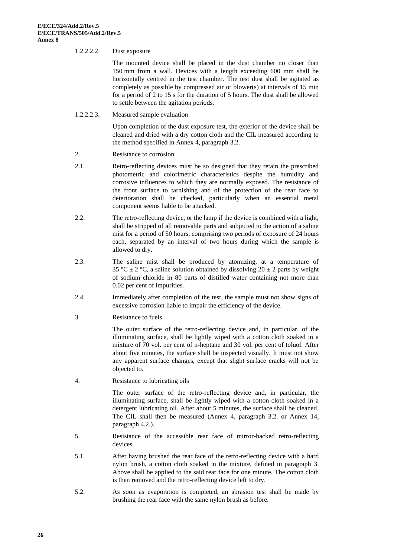#### 1.2.2.2.2. Dust exposure

The mounted device shall be placed in the dust chamber no closer than 150 mm from a wall. Devices with a length exceeding 600 mm shall be horizontally centred in the test chamber. The test dust shall be agitated as completely as possible by compressed air or blower(s) at intervals of 15 min for a period of 2 to 15 s for the duration of 5 hours. The dust shall be allowed to settle between the agitation periods.

1.2.2.2.3. Measured sample evaluation

Upon completion of the dust exposure test, the exterior of the device shall be cleaned and dried with a dry cotton cloth and the CIL measured according to the method specified in Annex 4, paragraph 3.2.

- 2. Resistance to corrosion
- 2.1. Retro-reflecting devices must be so designed that they retain the prescribed photometric and colorimetric characteristics despite the humidity and corrosive influences to which they are normally exposed. The resistance of the front surface to tarnishing and of the protection of the rear face to deterioration shall be checked, particularly when an essential metal component seems liable to be attacked.
- 2.2. The retro-reflecting device, or the lamp if the device is combined with a light, shall be stripped of all removable parts and subjected to the action of a saline mist for a period of 50 hours, comprising two periods of exposure of 24 hours each, separated by an interval of two hours during which the sample is allowed to dry.
- 2.3. The saline mist shall be produced by atomizing, at a temperature of 35 °C  $\pm$  2 °C, a saline solution obtained by dissolving 20  $\pm$  2 parts by weight of sodium chloride in 80 parts of distilled water containing not more than 0.02 per cent of impurities.
- 2.4. Immediately after completion of the test, the sample must not show signs of excessive corrosion liable to impair the efficiency of the device.
- 3. Resistance to fuels

The outer surface of the retro-reflecting device and, in particular, of the illuminating surface, shall be lightly wiped with a cotton cloth soaked in a mixture of 70 vol. per cent of n-heptane and 30 vol. per cent of toluol. After about five minutes, the surface shall be inspected visually. It must not show any apparent surface changes, except that slight surface cracks will not be objected to.

4. Resistance to lubricating oils

The outer surface of the retro-reflecting device and, in particular, the illuminating surface, shall be lightly wiped with a cotton cloth soaked in a detergent lubricating oil. After about 5 minutes, the surface shall be cleaned. The CIL shall then be measured (Annex 4, paragraph 3.2. or Annex 14, paragraph 4.2.).

- 5. Resistance of the accessible rear face of mirror-backed retro-reflecting devices
- 5.1. After having brushed the rear face of the retro-reflecting device with a hard nylon brush, a cotton cloth soaked in the mixture, defined in paragraph 3. Above shall be applied to the said rear face for one minute. The cotton cloth is then removed and the retro-reflecting device left to dry.
- 5.2. As soon as evaporation is completed, an abrasion test shall be made by brushing the rear face with the same nylon brush as before.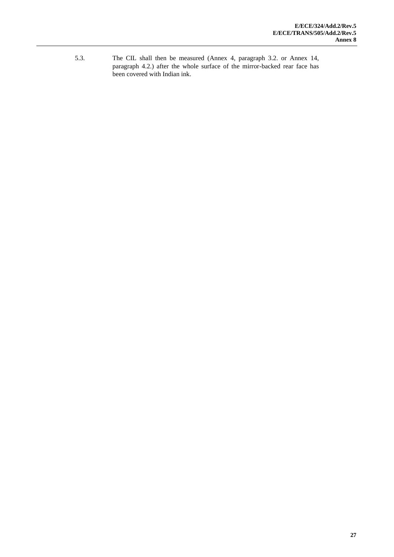5.3. The CIL shall then be measured (Annex 4, paragraph 3.2. or Annex 14, paragraph 4.2.) after the whole surface of the mirror-backed rear face has been covered with Indian ink.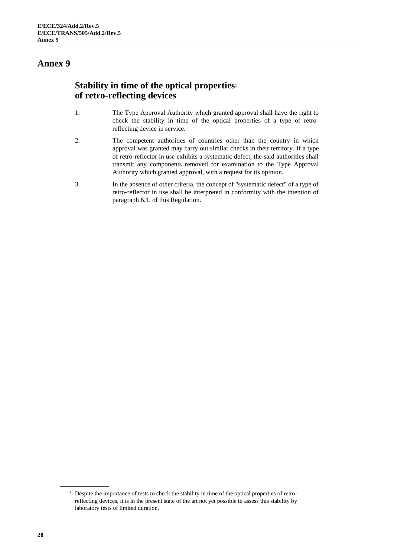#### <span id="page-27-1"></span><span id="page-27-0"></span>**Stability in time of the optical properties<sup>1</sup> of retro-reflecting devices**

- 1. The Type Approval Authority which granted approval shall have the right to check the stability in time of the optical properties of a type of retroreflecting device in service.
- 2. The competent authorities of countries other than the country in which approval was granted may carry out similar checks in their territory. If a type of retro-reflector in use exhibits a systematic defect, the said authorities shall transmit any components removed for examination to the Type Approval Authority which granted approval, with a request for its opinion.
- 3. In the absence of other criteria, the concept of "systematic defect" of a type of retro-reflector in use shall be interpreted in conformity with the intention of paragraph 6.1. of this Regulation.

<sup>&</sup>lt;sup>1</sup> Despite the importance of tests to check the stability in time of the optical properties of retroreflecting devices, it is in the present state of the art not yet possible to assess this stability by laboratory tests of limited duration.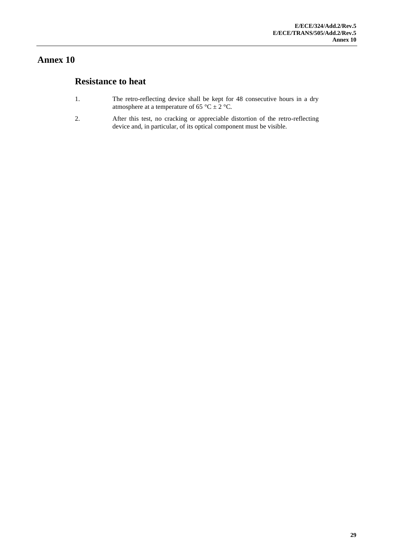#### <span id="page-28-1"></span><span id="page-28-0"></span>**Resistance to heat**

- 1. The retro-reflecting device shall be kept for 48 consecutive hours in a dry atmosphere at a temperature of 65 °C  $\pm$  2 °C.
- 2. After this test, no cracking or appreciable distortion of the retro-reflecting device and, in particular, of its optical component must be visible.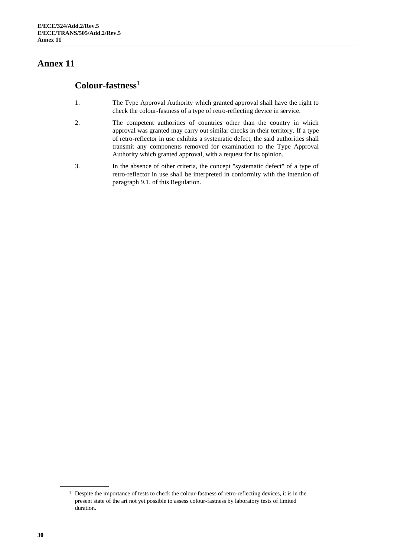#### <span id="page-29-1"></span><span id="page-29-0"></span>**Colour-fastness<sup>1</sup>**

- 1. The Type Approval Authority which granted approval shall have the right to check the colour-fastness of a type of retro-reflecting device in service.
- 2. The competent authorities of countries other than the country in which approval was granted may carry out similar checks in their territory. If a type of retro-reflector in use exhibits a systematic defect, the said authorities shall transmit any components removed for examination to the Type Approval Authority which granted approval, with a request for its opinion.
- 3. In the absence of other criteria, the concept "systematic defect" of a type of retro-reflector in use shall be interpreted in conformity with the intention of paragraph 9.1. of this Regulation.

 $<sup>1</sup>$  Despite the importance of tests to check the colour-fastness of retro-reflecting devices, it is in the</sup> present state of the art not yet possible to assess colour-fastness by laboratory tests of limited duration.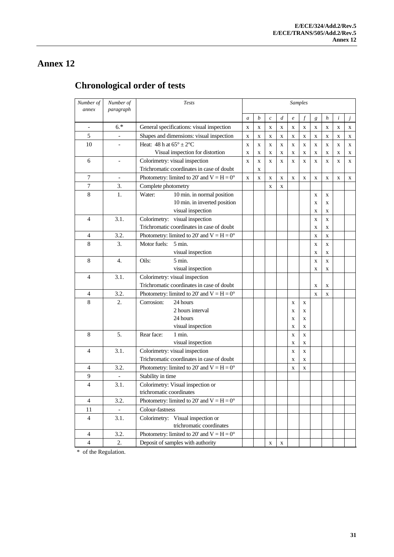# <span id="page-30-1"></span><span id="page-30-0"></span>**Chronological order of tests**

| Number of<br>annex       | Number of<br>paragraph   | Tests                                                            | Samples        |             |                   |   |                  |             |                |             |             |             |
|--------------------------|--------------------------|------------------------------------------------------------------|----------------|-------------|-------------------|---|------------------|-------------|----------------|-------------|-------------|-------------|
|                          |                          |                                                                  | $\mathfrak{a}$ | b           | $\mathcal{C}_{0}$ | d | $\boldsymbol{e}$ | f           | $\mathfrak{g}$ | h           | $\dot{i}$   | j           |
| $\overline{\phantom{a}}$ | $6.*$                    | General specifications: visual inspection                        | $\mathbf X$    | $\mathbf X$ | $\mathbf X$       | X | $\mathbf X$      | $\mathbf X$ | X              | X           | $\mathbf X$ | $\mathbf X$ |
| 5                        |                          | Shapes and dimensions: visual inspection                         | X              | X           | X                 | X | X                | X           | X              | X           | X           | X           |
| 10                       | $\overline{\phantom{a}}$ | Heat: 48 h at $65^{\circ} \pm 2^{\circ}$ C                       | X              | $\mathbf x$ | X                 | X | X                | X           | X              | X           | $\mathbf X$ | $\mathbf X$ |
|                          |                          | Visual inspection for distortion                                 | $\mathbf X$    | $\mathbf X$ | X                 | X | X                | X           | X              | X           | $\mathbf X$ | X           |
| 6                        | $\overline{a}$           | Colorimetry: visual inspection                                   | $\mathbf X$    | $\mathbf X$ | X                 | X | X                | X           | X              | $\mathbf X$ | $\mathbf X$ | $\mathbf X$ |
|                          |                          | Trichromatic coordinates in case of doubt                        |                | $\mathbf X$ |                   |   |                  |             |                |             |             |             |
| $\overline{7}$           |                          | Photometry: limited to 20' and $V = H = 0^{\circ}$               | $\mathbf X$    | $\mathbf X$ | $\mathbf X$       | X | $\mathbf X$      | $\mathbf X$ | X              | $\mathbf X$ | $\mathbf X$ | X           |
| $\tau$                   | 3.                       | Complete photometry                                              |                |             | $\mathbf X$       | X |                  |             |                |             |             |             |
| $\,$ 8 $\,$              | 1.                       | Water:<br>10 min. in normal position                             |                |             |                   |   |                  |             | $\mathbf X$    | X           |             |             |
|                          |                          | 10 min. in inverted position                                     |                |             |                   |   |                  |             | X              | $\mathbf X$ |             |             |
|                          |                          | visual inspection                                                |                |             |                   |   |                  |             | X              | $\mathbf X$ |             |             |
| $\overline{4}$           | 3.1.                     | Colorimetry: visual inspection                                   |                |             |                   |   |                  |             | X              | X           |             |             |
|                          |                          | Trichromatic coordinates in case of doubt                        |                |             |                   |   |                  |             | X              | X           |             |             |
| 4                        | 3.2.                     | Photometry: limited to 20' and $V = H = 0^{\circ}$               |                |             |                   |   |                  |             | X              | X           |             |             |
| 8                        | 3.                       | Motor fuels:<br>$5 \text{ min.}$                                 |                |             |                   |   |                  |             | $\mathbf X$    | X           |             |             |
|                          |                          | visual inspection                                                |                |             |                   |   |                  |             | $\mathbf X$    | $\mathbf X$ |             |             |
| 8                        | $\overline{4}$ .         | Oils:<br>$5 \text{ min}$ .                                       |                |             |                   |   |                  |             | $\mathbf X$    | $\mathbf X$ |             |             |
|                          |                          | visual inspection                                                |                |             |                   |   |                  |             | X              | X           |             |             |
| 4                        | 3.1.                     | Colorimetry: visual inspection                                   |                |             |                   |   |                  |             |                |             |             |             |
|                          |                          | Trichromatic coordinates in case of doubt                        |                |             |                   |   |                  |             | X              | $\mathbf X$ |             |             |
| $\overline{4}$           | 3.2.                     | Photometry: limited to 20' and $V = H = 0^{\circ}$               |                |             |                   |   |                  |             | $\mathbf X$    | $\mathbf X$ |             |             |
| $\,$ 8 $\,$              | 2.                       | Corrosion:<br>24 hours                                           |                |             |                   |   | X                | $\mathbf X$ |                |             |             |             |
|                          |                          | 2 hours interval                                                 |                |             |                   |   | X                | X           |                |             |             |             |
|                          |                          | 24 hours                                                         |                |             |                   |   | X                | X           |                |             |             |             |
|                          |                          | visual inspection                                                |                |             |                   |   | X                | X           |                |             |             |             |
| $\,$ 8 $\,$              | 5.                       | Rear face:<br>1 min.                                             |                |             |                   |   | X                | X           |                |             |             |             |
|                          |                          | visual inspection                                                |                |             |                   |   | X                | X           |                |             |             |             |
| $\overline{4}$           | 3.1.                     | Colorimetry: visual inspection                                   |                |             |                   |   | X                | $\mathbf X$ |                |             |             |             |
|                          |                          | Trichromatic coordinates in case of doubt                        |                |             |                   |   | $\mathbf X$      | $\mathbf X$ |                |             |             |             |
| 4                        | 3.2.                     | Photometry: limited to 20' and $V = H = 0^{\circ}$               |                |             |                   |   | X                | $\mathbf X$ |                |             |             |             |
| 9                        |                          | Stability in time                                                |                |             |                   |   |                  |             |                |             |             |             |
| $\overline{4}$           | 3.1.                     | Colorimetry: Visual inspection or<br>trichromatic coordinates    |                |             |                   |   |                  |             |                |             |             |             |
|                          |                          |                                                                  |                |             |                   |   |                  |             |                |             |             |             |
| $\overline{4}$           | 3.2.                     | Photometry: limited to 20' and $V = H = 0^{\circ}$               |                |             |                   |   |                  |             |                |             |             |             |
| 11                       |                          | Colour-fastness                                                  |                |             |                   |   |                  |             |                |             |             |             |
| $\overline{4}$           | 3.1.                     | Colorimetry:<br>Visual inspection or<br>trichromatic coordinates |                |             |                   |   |                  |             |                |             |             |             |
| $\overline{4}$           |                          | Photometry: limited to 20' and $V = H = 0^{\circ}$               |                |             |                   |   |                  |             |                |             |             |             |
|                          | 3.2.                     |                                                                  |                |             |                   |   |                  |             |                |             |             |             |
| $\overline{\mathbf{4}}$  | 2.                       | Deposit of samples with authority                                |                |             | $\mathbf X$       | X |                  |             |                |             |             |             |

\* of the Regulation.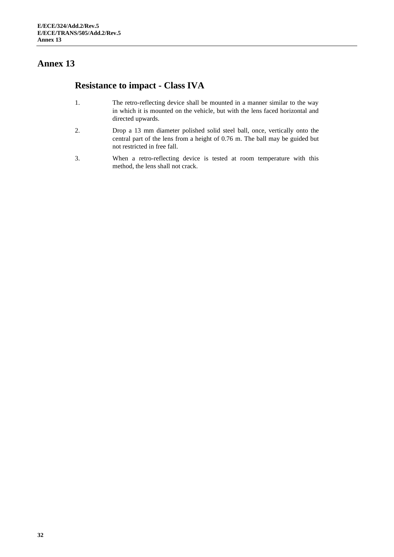## <span id="page-31-1"></span><span id="page-31-0"></span>**Resistance to impact - Class IVA**

- 1. The retro-reflecting device shall be mounted in a manner similar to the way in which it is mounted on the vehicle, but with the lens faced horizontal and directed upwards.
- 2. Drop a 13 mm diameter polished solid steel ball, once, vertically onto the central part of the lens from a height of 0.76 m. The ball may be guided but not restricted in free fall.
- 3. When a retro-reflecting device is tested at room temperature with this method, the lens shall not crack.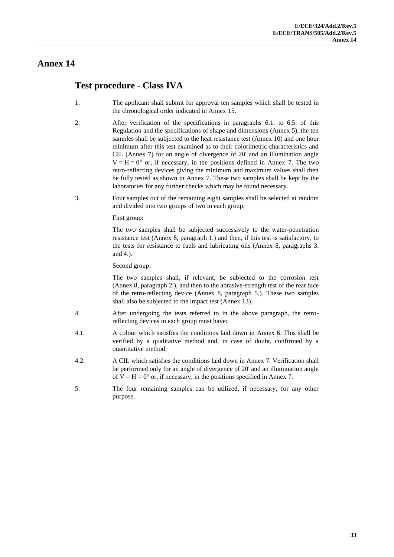#### <span id="page-32-1"></span><span id="page-32-0"></span>**Test procedure - Class IVA**

- 1. The applicant shall submit for approval ten samples which shall be tested in the chronological order indicated in Annex 15.
- 2. After verification of the specifications in paragraphs 6.1. to 6.5. of this Regulation and the specifications of shape and dimensions (Annex 5), the ten samples shall be subjected to the heat resistance test (Annex 10) and one hour minimum after this test examined as to their colorimetric characteristics and CIL (Annex 7) for an angle of divergence of 20' and an illumination angle  $V = H = 0^{\circ}$  or, if necessary, in the positions defined in Annex 7. The two retro-reflecting devices giving the minimum and maximum values shall then be fully tested as shown in Annex 7. These two samples shall be kept by the laboratories for any further checks which may be found necessary.
- 3. Four samples out of the remaining eight samples shall be selected at random and divided into two groups of two in each group.

First group:

The two samples shall be subjected successively to the water-penetration resistance test (Annex 8, paragraph 1.) and then, if this test is satisfactory, to the tests for resistance to fuels and lubricating oils (Annex 8, paragraphs 3. and 4.).

Second group:

The two samples shall, if relevant, be subjected to the corrosion test (Annex 8, paragraph 2.), and then to the abrasive-strength test of the rear face of the retro-reflecting device (Annex 8, paragraph 5.). These two samples shall also be subjected to the impact test (Annex 13).

- 4. After undergoing the tests referred to in the above paragraph, the retroreflecting devices in each group must have:
- 4.1. A colour which satisfies the conditions laid down in Annex 6. This shall be verified by a qualitative method and, in case of doubt, confirmed by a quantitative method;
- 4.2. A CIL which satisfies the conditions laid down in Annex 7. Verification shall be performed only for an angle of divergence of 20' and an illumination angle of  $V = H = 0^{\circ}$  or, if necessary, in the positions specified in Annex 7.
- 5. The four remaining samples can be utilized, if necessary, for any other purpose.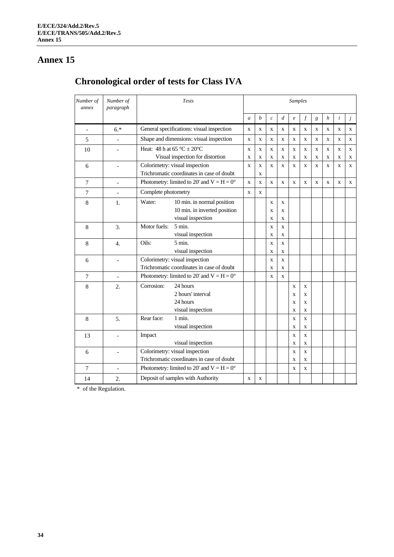# <span id="page-33-1"></span><span id="page-33-0"></span>**Chronological order of tests for Class IVA**

| Number of<br>annex       | Number of<br>paragraph |                                | Tests                                                    |                  |              |                  |                  | <b>Samples</b>   |             |             |             |              |             |
|--------------------------|------------------------|--------------------------------|----------------------------------------------------------|------------------|--------------|------------------|------------------|------------------|-------------|-------------|-------------|--------------|-------------|
|                          |                        |                                |                                                          | $\boldsymbol{a}$ | b            | $\boldsymbol{c}$ | $\boldsymbol{d}$ | $\boldsymbol{e}$ | f           | g           | h           | i            | j           |
| $\overline{\phantom{m}}$ | $6.*$                  |                                | General specifications: visual inspection<br>$\mathbf X$ |                  |              | X                | X                | X                | $\mathbf x$ | X           | X           | X            | $\mathbf X$ |
| 5                        | $\overline{a}$         |                                | Shape and dimensions: visual inspection                  | $\mathbf X$      | $\mathbf X$  | $\mathbf X$      | $\mathbf X$      | $\mathbf X$      | $\mathbf X$ | $\mathbf X$ | $\mathbf X$ | $\mathbf X$  | $\mathbf X$ |
| 10                       | $\overline{a}$         | Heat: 48 h at 65 °C $\pm$ 20°C |                                                          | $\mathbf x$      | $\mathbf{X}$ | $\mathbf{X}$     | $\mathbf X$      | $\mathbf x$      | $\mathbf x$ | X           | $\mathbf x$ | $\mathbf{X}$ | X           |
|                          |                        |                                | Visual inspection for distortion                         | $\mathbf X$      | $\mathbf X$  | $\mathbf X$      | $\mathbf X$      | $\mathbf X$      | $\mathbf X$ | X           | X           | X            | X           |
| 6                        | $\overline{a}$         |                                | Colorimetry: visual inspection                           | $\mathbf x$      | $\mathbf{X}$ | $\mathbf{X}$     | $\mathbf X$      | $\mathbf x$      | X           | X           | $\mathbf x$ | X            | X           |
|                          |                        |                                | Trichromatic coordinates in case of doubt                |                  | $\mathbf X$  |                  |                  |                  |             |             |             |              |             |
| $\overline{7}$           | $\overline{a}$         |                                | Photometry: limited to 20' and $V = H = 0^{\circ}$       | $\mathbf{x}$     | $\mathbf{x}$ | $\mathbf X$      | $\mathbf X$      | $\mathbf x$      | $\mathbf x$ | $\mathbf X$ | X           | X            | $\mathbf x$ |
| $\overline{7}$           | $\overline{a}$         | Complete photometry            |                                                          | $\mathbf x$      | $\mathbf{X}$ |                  |                  |                  |             |             |             |              |             |
| 8                        | 1.                     | Water:                         | 10 min. in normal position                               |                  |              | $\mathbf X$      | $\mathbf X$      |                  |             |             |             |              |             |
|                          |                        |                                | 10 min. in inverted position                             |                  |              | $\mathbf X$      | $\mathbf X$      |                  |             |             |             |              |             |
|                          |                        |                                | visual inspection                                        |                  |              | X                | X                |                  |             |             |             |              |             |
| 8                        | 3.                     | Motor fuels:                   | $5 \text{ min}$ .                                        |                  |              | $\mathbf X$      | $\mathbf X$      |                  |             |             |             |              |             |
|                          |                        |                                | visual inspection                                        |                  |              | $\mathbf x$      | $\mathbf X$      |                  |             |             |             |              |             |
| 8                        | $\overline{4}$ .       | Oils:                          | 5 min.                                                   |                  |              | $\mathbf X$      | $\mathbf X$      |                  |             |             |             |              |             |
|                          |                        |                                | visual inspection                                        |                  |              | $\mathbf X$      | $\mathbf X$      |                  |             |             |             |              |             |
| 6                        | $\overline{a}$         |                                | Colorimetry: visual inspection                           |                  |              | $\mathbf{X}$     | $\mathbf X$      |                  |             |             |             |              |             |
|                          |                        |                                | Trichromatic coordinates in case of doubt                |                  |              | $\mathbf X$      | $\mathbf X$      |                  |             |             |             |              |             |
| $\overline{7}$           |                        |                                | Photometry: limited to 20' and $V = H = 0^{\circ}$       |                  |              | $\mathbf X$      | $\mathbf x$      |                  |             |             |             |              |             |
| 8                        | 2.                     | Corrosion:                     | 24 hours                                                 |                  |              |                  |                  | X                | X           |             |             |              |             |
|                          |                        |                                | 2 hours' interval                                        |                  |              |                  |                  | X                | X           |             |             |              |             |
|                          |                        |                                | 24 hours                                                 |                  |              |                  |                  | X                | X           |             |             |              |             |
|                          |                        |                                | visual inspection                                        |                  |              |                  |                  | $\mathbf X$      | X           |             |             |              |             |
| 8                        | 5.                     | Rear face:                     | $1$ min.                                                 |                  |              |                  |                  | $\mathbf x$      | $\mathbf x$ |             |             |              |             |
|                          |                        |                                | visual inspection                                        |                  |              |                  |                  | $\mathbf X$      | X           |             |             |              |             |
| 13                       |                        | Impact                         |                                                          |                  |              |                  |                  | $\mathbf X$      | $\mathbf x$ |             |             |              |             |
|                          |                        |                                | visual inspection                                        |                  |              |                  |                  | X                | X           |             |             |              |             |
| 6                        | $\overline{a}$         |                                | Colorimetry: visual inspection                           |                  |              |                  |                  | $\mathbf X$      | $\mathbf X$ |             |             |              |             |
|                          |                        |                                | Trichromatic coordinates in case of doubt                |                  |              |                  |                  | $\mathbf X$      | $\mathbf x$ |             |             |              |             |
| $\overline{7}$           | $\blacksquare$         |                                | Photometry: limited to 20' and $V = H = 0^{\circ}$       |                  |              |                  |                  | $\mathbf X$      | X           |             |             |              |             |
| 14                       | 2.                     |                                | Deposit of samples with Authority                        | $\mathbf x$      | $\mathbf x$  |                  |                  |                  |             |             |             |              |             |

\* of the Regulation.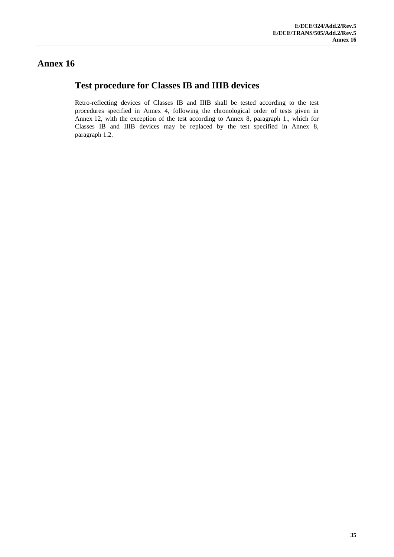## <span id="page-34-1"></span><span id="page-34-0"></span>**Test procedure for Classes IB and IIIB devices**

Retro-reflecting devices of Classes IB and IIIB shall be tested according to the test procedures specified in Annex 4, following the chronological order of tests given in Annex 12, with the exception of the test according to Annex 8, paragraph 1., which for Classes IB and IIIB devices may be replaced by the test specified in Annex 8, paragraph 1.2.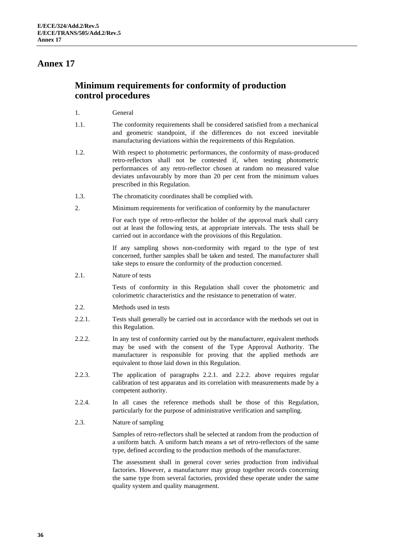#### <span id="page-35-1"></span><span id="page-35-0"></span>**Minimum requirements for conformity of production control procedures**

- 1. General
- 1.1. The conformity requirements shall be considered satisfied from a mechanical and geometric standpoint, if the differences do not exceed inevitable manufacturing deviations within the requirements of this Regulation.
- 1.2. With respect to photometric performances, the conformity of mass-produced retro-reflectors shall not be contested if, when testing photometric performances of any retro-reflector chosen at random no measured value deviates unfavourably by more than 20 per cent from the minimum values prescribed in this Regulation.
- 1.3. The chromaticity coordinates shall be complied with.
- 2. Minimum requirements for verification of conformity by the manufacturer

For each type of retro-reflector the holder of the approval mark shall carry out at least the following tests, at appropriate intervals. The tests shall be carried out in accordance with the provisions of this Regulation.

If any sampling shows non-conformity with regard to the type of test concerned, further samples shall be taken and tested. The manufacturer shall take steps to ensure the conformity of the production concerned.

2.1. Nature of tests

Tests of conformity in this Regulation shall cover the photometric and colorimetric characteristics and the resistance to penetration of water.

- 2.2. Methods used in tests
- 2.2.1. Tests shall generally be carried out in accordance with the methods set out in this Regulation.
- 2.2.2. In any test of conformity carried out by the manufacturer, equivalent methods may be used with the consent of the Type Approval Authority. The manufacturer is responsible for proving that the applied methods are equivalent to those laid down in this Regulation.
- 2.2.3. The application of paragraphs 2.2.1. and 2.2.2. above requires regular calibration of test apparatus and its correlation with measurements made by a competent authority.
- 2.2.4. In all cases the reference methods shall be those of this Regulation, particularly for the purpose of administrative verification and sampling.
- 2.3. Nature of sampling

Samples of retro-reflectors shall be selected at random from the production of a uniform batch. A uniform batch means a set of retro-reflectors of the same type, defined according to the production methods of the manufacturer.

The assessment shall in general cover series production from individual factories. However, a manufacturer may group together records concerning the same type from several factories, provided these operate under the same quality system and quality management.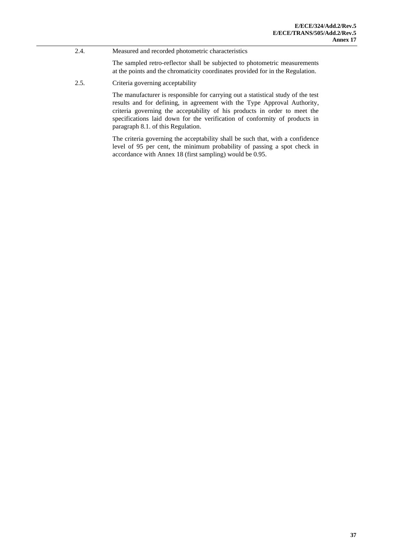#### 2.4. Measured and recorded photometric characteristics

The sampled retro-reflector shall be subjected to photometric measurements at the points and the chromaticity coordinates provided for in the Regulation.

2.5. Criteria governing acceptability

The manufacturer is responsible for carrying out a statistical study of the test results and for defining, in agreement with the Type Approval Authority, criteria governing the acceptability of his products in order to meet the specifications laid down for the verification of conformity of products in paragraph 8.1. of this Regulation.

The criteria governing the acceptability shall be such that, with a confidence level of 95 per cent, the minimum probability of passing a spot check in accordance with Annex 18 (first sampling) would be 0.95.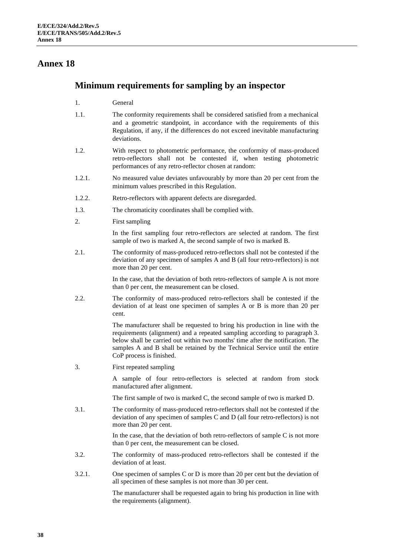#### <span id="page-37-1"></span><span id="page-37-0"></span>**Minimum requirements for sampling by an inspector**

- 1. General
- 1.1. The conformity requirements shall be considered satisfied from a mechanical and a geometric standpoint, in accordance with the requirements of this Regulation, if any, if the differences do not exceed inevitable manufacturing deviations.
- 1.2. With respect to photometric performance, the conformity of mass-produced retro-reflectors shall not be contested if, when testing photometric performances of any retro-reflector chosen at random:
- 1.2.1. No measured value deviates unfavourably by more than 20 per cent from the minimum values prescribed in this Regulation.
- 1.2.2. Retro-reflectors with apparent defects are disregarded.
- 1.3. The chromaticity coordinates shall be complied with.
- 2. First sampling

In the first sampling four retro-reflectors are selected at random. The first sample of two is marked A, the second sample of two is marked B.

2.1. The conformity of mass-produced retro-reflectors shall not be contested if the deviation of any specimen of samples A and B (all four retro-reflectors) is not more than 20 per cent.

> In the case, that the deviation of both retro-reflectors of sample A is not more than 0 per cent, the measurement can be closed.

2.2. The conformity of mass-produced retro-reflectors shall be contested if the deviation of at least one specimen of samples A or B is more than 20 per cent.

> The manufacturer shall be requested to bring his production in line with the requirements (alignment) and a repeated sampling according to paragraph 3. below shall be carried out within two months' time after the notification. The samples A and B shall be retained by the Technical Service until the entire CoP process is finished.

3. First repeated sampling

A sample of four retro-reflectors is selected at random from stock manufactured after alignment.

The first sample of two is marked C, the second sample of two is marked D.

3.1. The conformity of mass-produced retro-reflectors shall not be contested if the deviation of any specimen of samples C and D (all four retro-reflectors) is not more than 20 per cent.

> In the case, that the deviation of both retro-reflectors of sample  $C$  is not more than 0 per cent, the measurement can be closed.

- 3.2. The conformity of mass-produced retro-reflectors shall be contested if the deviation of at least.
- 3.2.1. One specimen of samples C or D is more than 20 per cent but the deviation of all specimen of these samples is not more than 30 per cent.

The manufacturer shall be requested again to bring his production in line with the requirements (alignment).